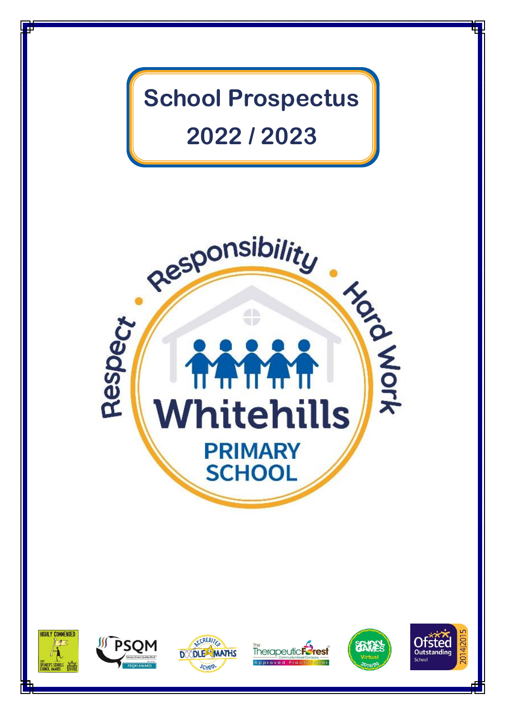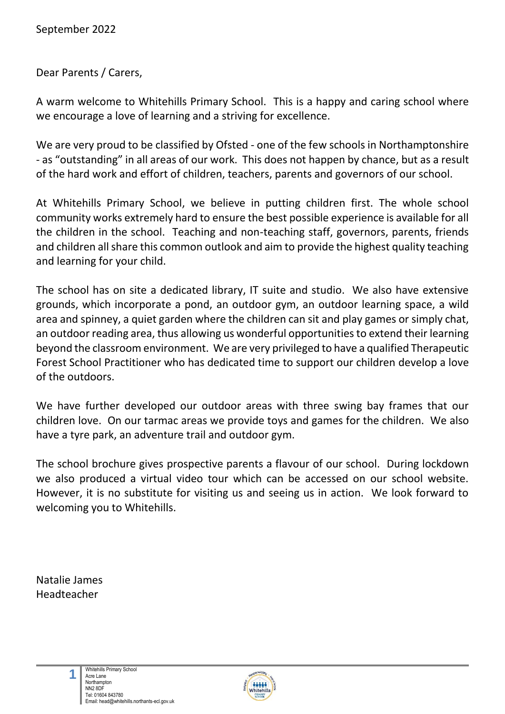Dear Parents / Carers,

A warm welcome to Whitehills Primary School. This is a happy and caring school where we encourage a love of learning and a striving for excellence.

We are very proud to be classified by Ofsted - one of the few schools in Northamptonshire - as "outstanding" in all areas of our work. This does not happen by chance, but as a result of the hard work and effort of children, teachers, parents and governors of our school.

At Whitehills Primary School, we believe in putting children first. The whole school community works extremely hard to ensure the best possible experience is available for all the children in the school. Teaching and non-teaching staff, governors, parents, friends and children all share this common outlook and aim to provide the highest quality teaching and learning for your child.

The school has on site a dedicated library, IT suite and studio. We also have extensive grounds, which incorporate a pond, an outdoor gym, an outdoor learning space, a wild area and spinney, a quiet garden where the children can sit and play games or simply chat, an outdoor reading area, thus allowing us wonderful opportunities to extend their learning beyond the classroom environment. We are very privileged to have a qualified Therapeutic Forest School Practitioner who has dedicated time to support our children develop a love of the outdoors.

We have further developed our outdoor areas with three swing bay frames that our children love. On our tarmac areas we provide toys and games for the children. We also have a tyre park, an adventure trail and outdoor gym.

The school brochure gives prospective parents a flavour of our school. During lockdown we also produced a virtual video tour which can be accessed on our school website. However, it is no substitute for visiting us and seeing us in action. We look forward to welcoming you to Whitehills.

Natalie James Headteacher

**1**

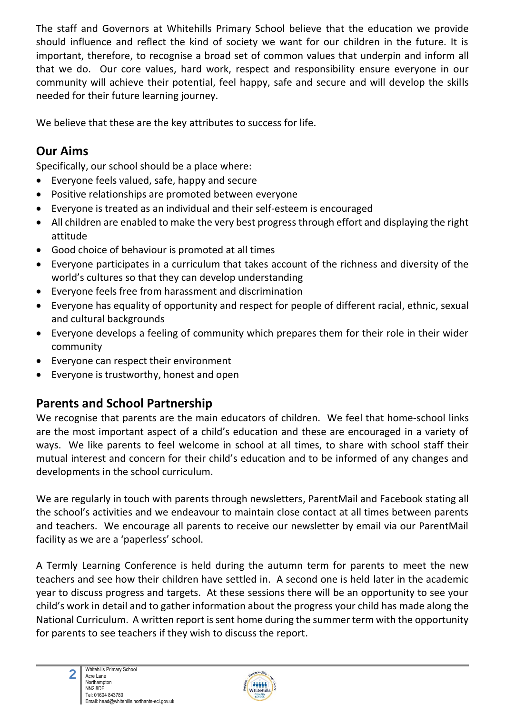The staff and Governors at Whitehills Primary School believe that the education we provide should influence and reflect the kind of society we want for our children in the future. It is important, therefore, to recognise a broad set of common values that underpin and inform all that we do. Our core values, hard work, respect and responsibility ensure everyone in our community will achieve their potential, feel happy, safe and secure and will develop the skills needed for their future learning journey.

We believe that these are the key attributes to success for life.

## **Our Aims**

Specifically, our school should be a place where:

- Everyone feels valued, safe, happy and secure
- Positive relationships are promoted between everyone
- Everyone is treated as an individual and their self-esteem is encouraged
- All children are enabled to make the very best progress through effort and displaying the right attitude
- Good choice of behaviour is promoted at all times
- Everyone participates in a curriculum that takes account of the richness and diversity of the world's cultures so that they can develop understanding
- Everyone feels free from harassment and discrimination
- Everyone has equality of opportunity and respect for people of different racial, ethnic, sexual and cultural backgrounds
- Everyone develops a feeling of community which prepares them for their role in their wider community
- Everyone can respect their environment
- Everyone is trustworthy, honest and open

## **Parents and School Partnership**

We recognise that parents are the main educators of children. We feel that home-school links are the most important aspect of a child's education and these are encouraged in a variety of ways. We like parents to feel welcome in school at all times, to share with school staff their mutual interest and concern for their child's education and to be informed of any changes and developments in the school curriculum.

We are regularly in touch with parents through newsletters, ParentMail and Facebook stating all the school's activities and we endeavour to maintain close contact at all times between parents and teachers. We encourage all parents to receive our newsletter by email via our ParentMail facility as we are a 'paperless' school.

A Termly Learning Conference is held during the autumn term for parents to meet the new teachers and see how their children have settled in. A second one is held later in the academic year to discuss progress and targets. At these sessions there will be an opportunity to see your child's work in detail and to gather information about the progress your child has made along the National Curriculum. A written report is sent home during the summer term with the opportunity for parents to see teachers if they wish to discuss the report.

**2**

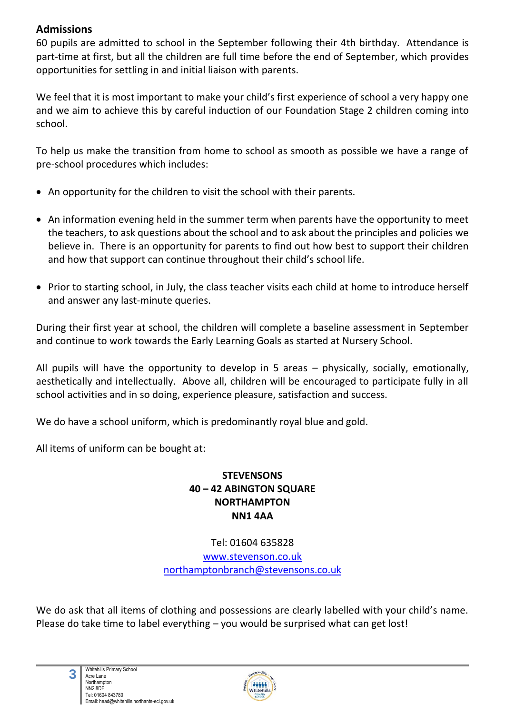#### **Admissions**

60 pupils are admitted to school in the September following their 4th birthday. Attendance is part-time at first, but all the children are full time before the end of September, which provides opportunities for settling in and initial liaison with parents.

We feel that it is most important to make your child's first experience of school a very happy one and we aim to achieve this by careful induction of our Foundation Stage 2 children coming into school.

To help us make the transition from home to school as smooth as possible we have a range of pre-school procedures which includes:

- An opportunity for the children to visit the school with their parents.
- An information evening held in the summer term when parents have the opportunity to meet the teachers, to ask questions about the school and to ask about the principles and policies we believe in. There is an opportunity for parents to find out how best to support their children and how that support can continue throughout their child's school life.
- Prior to starting school, in July, the class teacher visits each child at home to introduce herself and answer any last-minute queries.

During their first year at school, the children will complete a baseline assessment in September and continue to work towards the Early Learning Goals as started at Nursery School.

All pupils will have the opportunity to develop in 5 areas – physically, socially, emotionally, aesthetically and intellectually. Above all, children will be encouraged to participate fully in all school activities and in so doing, experience pleasure, satisfaction and success.

We do have a school uniform, which is predominantly royal blue and gold.

All items of uniform can be bought at:

#### **STEVENSONS 40 – 42 ABINGTON SQUARE NORTHAMPTON NN1 4AA**

Tel: 01604 635828 [www.stevenson.co.uk](http://www.stevenson.co.uk/) [northamptonbranch@stevensons.co.uk](mailto:northamptonbranch@stevensons.co.uk)

We do ask that all items of clothing and possessions are clearly labelled with your child's name. Please do take time to label everything – you would be surprised what can get lost!

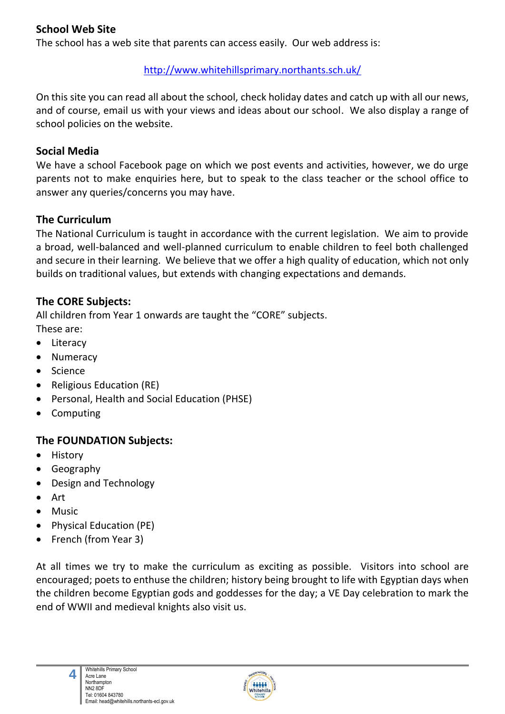#### **School Web Site**

The school has a web site that parents can access easily. Our web address is:

#### <http://www.whitehillsprimary.northants.sch.uk/>

On this site you can read all about the school, check holiday dates and catch up with all our news, and of course, email us with your views and ideas about our school. We also display a range of school policies on the website.

#### **Social Media**

We have a school Facebook page on which we post events and activities, however, we do urge parents not to make enquiries here, but to speak to the class teacher or the school office to answer any queries/concerns you may have.

#### **The Curriculum**

The National Curriculum is taught in accordance with the current legislation. We aim to provide a broad, well-balanced and well-planned curriculum to enable children to feel both challenged and secure in their learning. We believe that we offer a high quality of education, which not only builds on traditional values, but extends with changing expectations and demands.

#### **The CORE Subjects:**

All children from Year 1 onwards are taught the "CORE" subjects. These are:

- Literacy
- Numeracy
- Science
- Religious Education (RE)
- Personal, Health and Social Education (PHSE)
- Computing

#### **The FOUNDATION Subjects:**

- History
- Geography

**4**

- Design and Technology
- Art
- Music
- Physical Education (PE)
- French (from Year 3)

At all times we try to make the curriculum as exciting as possible. Visitors into school are encouraged; poets to enthuse the children; history being brought to life with Egyptian days when the children become Egyptian gods and goddesses for the day; a VE Day celebration to mark the end of WWII and medieval knights also visit us.

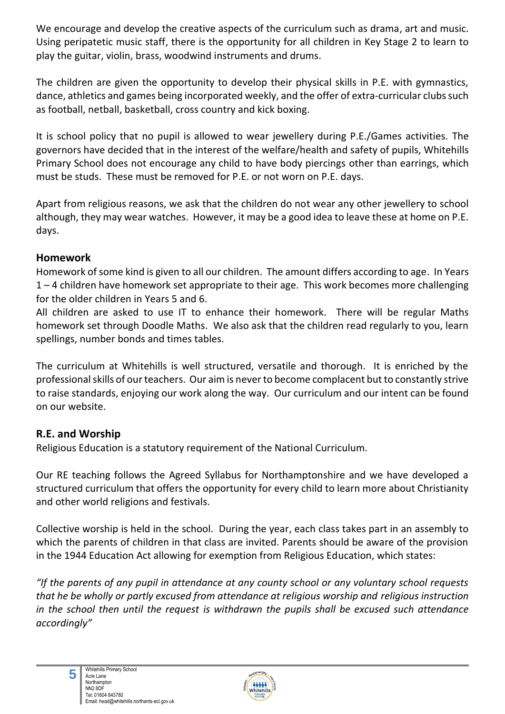We encourage and develop the creative aspects of the curriculum such as drama, art and music. Using peripatetic music staff, there is the opportunity for all children in Key Stage 2 to learn to play the guitar, violin, brass, woodwind instruments and drums.

The children are given the opportunity to develop their physical skills in P.E. with gymnastics, dance, athletics and games being incorporated weekly, and the offer of extra-curricular clubs such as football, netball, basketball, cross country and kick boxing.

It is school policy that no pupil is allowed to wear jewellery during P.E./Games activities. The governors have decided that in the interest of the welfare/health and safety of pupils, Whitehills Primary School does not encourage any child to have body piercings other than earrings, which must be studs. These must be removed for P.E. or not worn on P.E. days.

Apart from religious reasons, we ask that the children do not wear any other jewellery to school although, they may wear watches. However, it may be a good idea to leave these at home on P.E. days.

#### **Homework**

Homework of some kind is given to all our children. The amount differs according to age. In Years  $1 - 4$  children have homework set appropriate to their age. This work becomes more challenging for the older children in Years 5 and 6.

All children are asked to use IT to enhance their homework. There will be regular Maths homework set through Doodle Maths. We also ask that the children read regularly to you, learn spellings, number bonds and times tables.

The curriculum at Whitehills is well structured, versatile and thorough. It is enriched by the professional skills of our teachers. Our aim is never to become complacent but to constantly strive to raise standards, enjoying our work along the way. Our curriculum and our intent can be found on our website.

#### **R.E. and Worship**

Religious Education is a statutory requirement of the National Curriculum.

Our RE teaching follows the Agreed Syllabus for Northamptonshire and we have developed a structured curriculum that offers the opportunity for every child to learn more about Christianity and other world religions and festivals.

Collective worship is held in the school. During the year, each class takes part in an assembly to which the parents of children in that class are invited. Parents should be aware of the provision in the 1944 Education Act allowing for exemption from Religious Education, which states:

*"If the parents of any pupil in attendance at any county school or any voluntary school requests that he be wholly or partly excused from attendance at religious worship and religious instruction in the school then until the request is withdrawn the pupils shall be excused such attendance accordingly"*



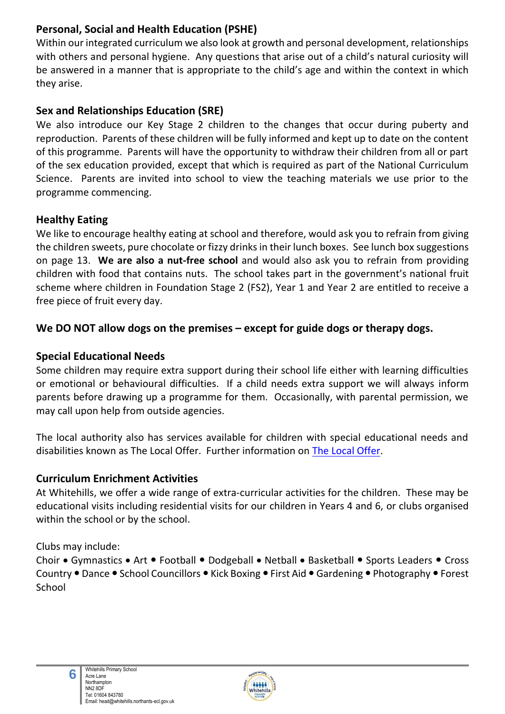## **Personal, Social and Health Education (PSHE)**

Within our integrated curriculum we also look at growth and personal development, relationships with others and personal hygiene. Any questions that arise out of a child's natural curiosity will be answered in a manner that is appropriate to the child's age and within the context in which they arise.

### **Sex and Relationships Education (SRE)**

We also introduce our Key Stage 2 children to the changes that occur during puberty and reproduction. Parents of these children will be fully informed and kept up to date on the content of this programme. Parents will have the opportunity to withdraw their children from all or part of the sex education provided, except that which is required as part of the National Curriculum Science. Parents are invited into school to view the teaching materials we use prior to the programme commencing.

#### **Healthy Eating**

We like to encourage healthy eating at school and therefore, would ask you to refrain from giving the children sweets, pure chocolate or fizzy drinks in their lunch boxes. See lunch box suggestions on page 13. **We are also a nut-free school** and would also ask you to refrain from providing children with food that contains nuts. The school takes part in the government's national fruit scheme where children in Foundation Stage 2 (FS2), Year 1 and Year 2 are entitled to receive a free piece of fruit every day.

#### **We DO NOT allow dogs on the premises – except for guide dogs or therapy dogs.**

#### **Special Educational Needs**

Some children may require extra support during their school life either with learning difficulties or emotional or behavioural difficulties. If a child needs extra support we will always inform parents before drawing up a programme for them. Occasionally, with parental permission, we may call upon help from outside agencies.

The local authority also has services available for children with special educational needs and disabilities known as The Local Offer. Further information on [The Local Offer.](https://www3.northamptonshire.gov.uk/councilservices/children-families-education/send/local-offer/Pages/default.aspx)

#### **Curriculum Enrichment Activities**

At Whitehills, we offer a wide range of extra-curricular activities for the children. These may be educational visits including residential visits for our children in Years 4 and 6, or clubs organised within the school or by the school.

Clubs may include:

**6**

Choir • Gymnastics • Art • Football • Dodgeball • Netball • Basketball • Sports Leaders • Cross Country • Dance • School Councillors • Kick Boxing • First Aid • Gardening • Photography • Forest School

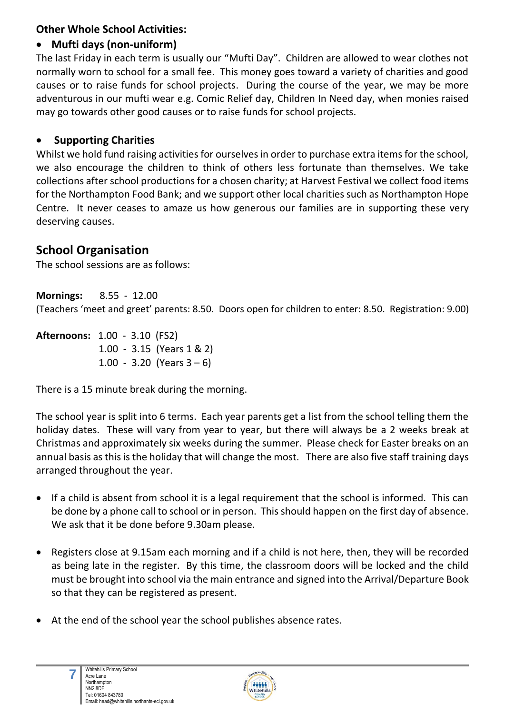## **Other Whole School Activities:**

### • **Mufti days (non-uniform)**

The last Friday in each term is usually our "Mufti Day". Children are allowed to wear clothes not normally worn to school for a small fee. This money goes toward a variety of charities and good causes or to raise funds for school projects. During the course of the year, we may be more adventurous in our mufti wear e.g. Comic Relief day, Children In Need day, when monies raised may go towards other good causes or to raise funds for school projects.

#### • **Supporting Charities**

Whilst we hold fund raising activities for ourselves in order to purchase extra items for the school, we also encourage the children to think of others less fortunate than themselves. We take collections after school productions for a chosen charity; at Harvest Festival we collect food items for the Northampton Food Bank; and we support other local charities such as Northampton Hope Centre. It never ceases to amaze us how generous our families are in supporting these very deserving causes.

## **School Organisation**

The school sessions are as follows:

**Mornings:** 8.55 - 12.00 (Teachers 'meet and greet' parents: 8.50. Doors open for children to enter: 8.50. Registration: 9.00)

**Afternoons:** 1.00 - 3.10 (FS2) 1.00 - 3.15 (Years 1 & 2) 1.00 - 3.20 (Years  $3-6$ )

There is a 15 minute break during the morning.

The school year is split into 6 terms. Each year parents get a list from the school telling them the holiday dates. These will vary from year to year, but there will always be a 2 weeks break at Christmas and approximately six weeks during the summer. Please check for Easter breaks on an annual basis as this is the holiday that will change the most. There are also five staff training days arranged throughout the year.

- If a child is absent from school it is a legal requirement that the school is informed. This can be done by a phone call to school or in person. This should happen on the first day of absence. We ask that it be done before 9.30am please.
- Registers close at 9.15am each morning and if a child is not here, then, they will be recorded as being late in the register. By this time, the classroom doors will be locked and the child must be brought into school via the main entrance and signed into the Arrival/Departure Book so that they can be registered as present.
- At the end of the school year the school publishes absence rates.

**7**

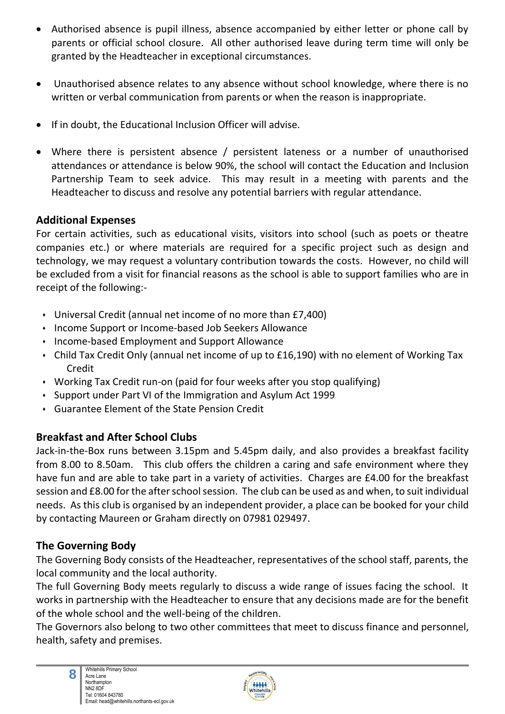- Authorised absence is pupil illness, absence accompanied by either letter or phone call by parents or official school closure. All other authorised leave during term time will only be granted by the Headteacher in exceptional circumstances.
- Unauthorised absence relates to any absence without school knowledge, where there is no written or verbal communication from parents or when the reason is inappropriate.
- If in doubt, the Educational Inclusion Officer will advise.
- Where there is persistent absence / persistent lateness or a number of unauthorised attendances or attendance is below 90%, the school will contact the Education and Inclusion Partnership Team to seek advice. This may result in a meeting with parents and the Headteacher to discuss and resolve any potential barriers with regular attendance.

#### **Additional Expenses**

For certain activities, such as educational visits, visitors into school (such as poets or theatre companies etc.) or where materials are required for a specific project such as design and technology, we may request a voluntary contribution towards the costs. However, no child will be excluded from a visit for financial reasons as the school is able to support families who are in receipt of the following:-

- ⬧ Universal Credit (annual net income of no more than £7,400)
- ⬧ Income Support or Income-based Job Seekers Allowance
- ⬧ Income-based Employment and Support Allowance
- ⬧ Child Tax Credit Only (annual net income of up to £16,190) with no element of Working Tax Credit
- ⬧ Working Tax Credit run-on (paid for four weeks after you stop qualifying)
- ⬧ Support under Part VI of the Immigration and Asylum Act 1999
- ⬧ Guarantee Element of the State Pension Credit

## **Breakfast and After School Clubs**

Jack-in-the-Box runs between 3.15pm and 5.45pm daily, and also provides a breakfast facility from 8.00 to 8.50am. This club offers the children a caring and safe environment where they have fun and are able to take part in a variety of activities. Charges are £4.00 for the breakfast session and £8.00 for the after school session. The club can be used as and when, to suit individual needs. As this club is organised by an independent provider, a place can be booked for your child by contacting Maureen or Graham directly on 07981 029497.

### **The Governing Body**

The Governing Body consists of the Headteacher, representatives of the school staff, parents, the local community and the local authority.

The full Governing Body meets regularly to discuss a wide range of issues facing the school. It works in partnership with the Headteacher to ensure that any decisions made are for the benefit of the whole school and the well-being of the children.

The Governors also belong to two other committees that meet to discuss finance and personnel, health, safety and premises.

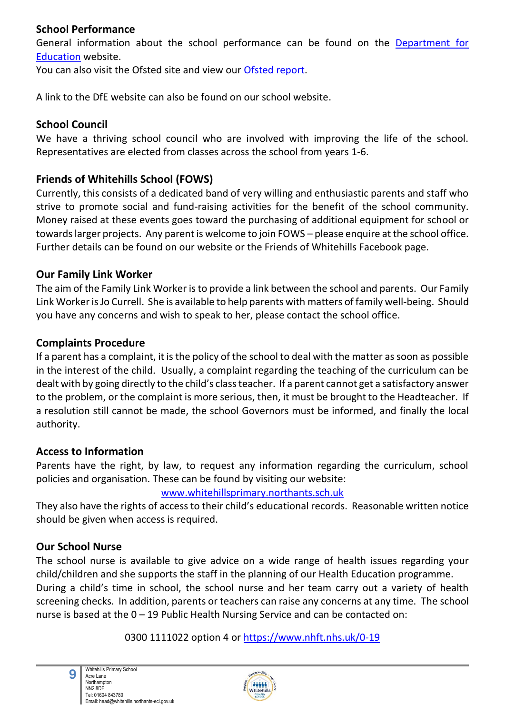#### **School Performance**

General information about the school performance can be found on the [Department for](https://www.compare-school-performance.service.gov.uk/school/121926/whitehills-primary-school/primary) [Education](https://www.compare-school-performance.service.gov.uk/school/121926/whitehills-primary-school/primary) website.

You can also visit the Ofsted site and view our [Ofsted report.](https://reports.ofsted.gov.uk/provider/21/121926)

A link to the DfE website can also be found on our school website.

#### **School Council**

We have a thriving school council who are involved with improving the life of the school. Representatives are elected from classes across the school from years 1-6.

### **Friends of Whitehills School (FOWS)**

Currently, this consists of a dedicated band of very willing and enthusiastic parents and staff who strive to promote social and fund-raising activities for the benefit of the school community. Money raised at these events goes toward the purchasing of additional equipment for school or towards larger projects. Any parent is welcome to join FOWS – please enquire at the school office. Further details can be found on our website or the Friends of Whitehills Facebook page.

#### **Our Family Link Worker**

The aim of the Family Link Worker is to provide a link between the school and parents. Our Family Link Worker is Jo Currell. She is available to help parents with matters of family well-being. Should you have any concerns and wish to speak to her, please contact the school office.

#### **Complaints Procedure**

If a parent has a complaint, it is the policy of the school to deal with the matter as soon as possible in the interest of the child. Usually, a complaint regarding the teaching of the curriculum can be dealt with by going directly to the child's class teacher. If a parent cannot get a satisfactory answer to the problem, or the complaint is more serious, then, it must be brought to the Headteacher. If a resolution still cannot be made, the school Governors must be informed, and finally the local authority.

#### **Access to Information**

Parents have the right, by law, to request any information regarding the curriculum, school policies and organisation. These can be found by visiting our website:

#### [www.whitehillsprimary.northants.sch.uk](http://www.whitehillsprimary.northants.sch.uk/)

They also have the rights of access to their child's educational records. Reasonable written notice should be given when access is required.

#### **Our School Nurse**

The school nurse is available to give advice on a wide range of health issues regarding your child/children and she supports the staff in the planning of our Health Education programme. During a child's time in school, the school nurse and her team carry out a variety of health screening checks. In addition, parents or teachers can raise any concerns at any time. The school nurse is based at the 0 – 19 Public Health Nursing Service and can be contacted on:

#### 0300 1111022 option 4 or<https://www.nhft.nhs.uk/0-19>



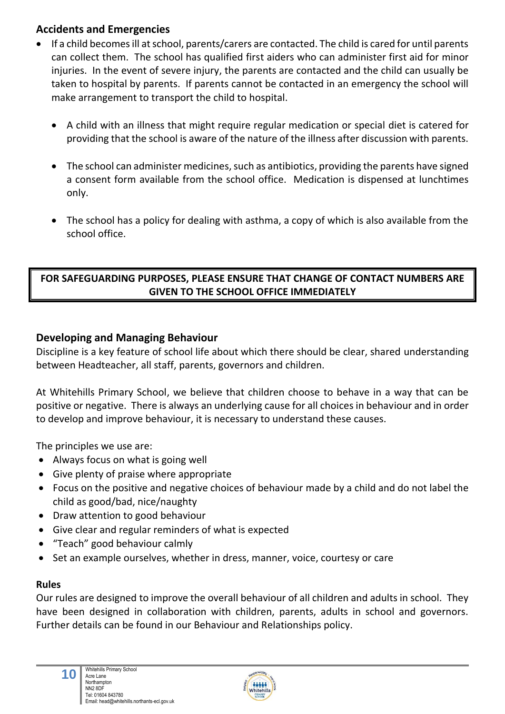### **Accidents and Emergencies**

- If a child becomes ill at school, parents/carers are contacted. The child is cared for until parents can collect them. The school has qualified first aiders who can administer first aid for minor injuries. In the event of severe injury, the parents are contacted and the child can usually be taken to hospital by parents. If parents cannot be contacted in an emergency the school will make arrangement to transport the child to hospital.
	- A child with an illness that might require regular medication or special diet is catered for providing that the school is aware of the nature of the illness after discussion with parents.
	- The school can administer medicines, such as antibiotics, providing the parents have signed a consent form available from the school office. Medication is dispensed at lunchtimes only.
	- The school has a policy for dealing with asthma, a copy of which is also available from the school office.

#### **FOR SAFEGUARDING PURPOSES, PLEASE ENSURE THAT CHANGE OF CONTACT NUMBERS ARE GIVEN TO THE SCHOOL OFFICE IMMEDIATELY**

#### **Developing and Managing Behaviour**

Discipline is a key feature of school life about which there should be clear, shared understanding between Headteacher, all staff, parents, governors and children.

At Whitehills Primary School, we believe that children choose to behave in a way that can be positive or negative. There is always an underlying cause for all choices in behaviour and in order to develop and improve behaviour, it is necessary to understand these causes.

The principles we use are:

- Always focus on what is going well
- Give plenty of praise where appropriate
- Focus on the positive and negative choices of behaviour made by a child and do not label the child as good/bad, nice/naughty
- Draw attention to good behaviour
- Give clear and regular reminders of what is expected
- "Teach" good behaviour calmly
- Set an example ourselves, whether in dress, manner, voice, courtesy or care

#### **Rules**

Our rules are designed to improve the overall behaviour of all children and adults in school. They have been designed in collaboration with children, parents, adults in school and governors. Further details can be found in our Behaviour and Relationships policy.

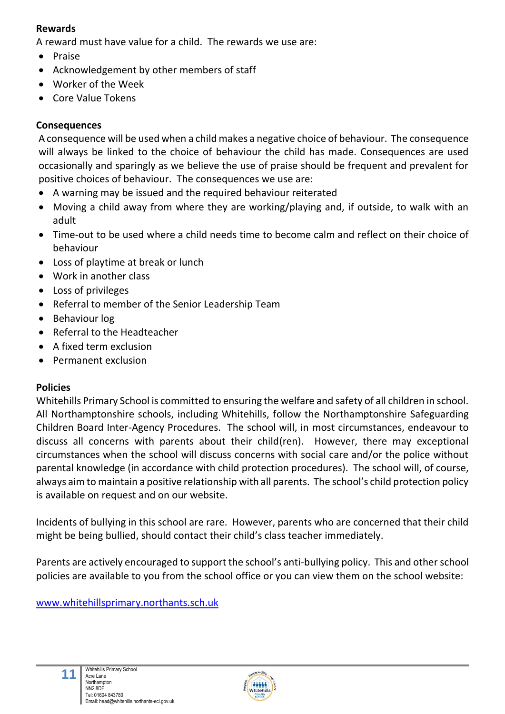#### **Rewards**

A reward must have value for a child. The rewards we use are:

- Praise
- Acknowledgement by other members of staff
- Worker of the Week
- Core Value Tokens

#### **Consequences**

A consequence will be used when a child makes a negative choice of behaviour. The consequence will always be linked to the choice of behaviour the child has made. Consequences are used occasionally and sparingly as we believe the use of praise should be frequent and prevalent for positive choices of behaviour. The consequences we use are:

- A warning may be issued and the required behaviour reiterated
- Moving a child away from where they are working/playing and, if outside, to walk with an adult
- Time-out to be used where a child needs time to become calm and reflect on their choice of behaviour
- Loss of playtime at break or lunch
- Work in another class
- Loss of privileges
- Referral to member of the Senior Leadership Team
- Behaviour log
- Referral to the Headteacher
- A fixed term exclusion
- Permanent exclusion

#### **Policies**

Whitehills Primary School is committed to ensuring the welfare and safety of all children in school. All Northamptonshire schools, including Whitehills, follow the Northamptonshire Safeguarding Children Board Inter-Agency Procedures. The school will, in most circumstances, endeavour to discuss all concerns with parents about their child(ren). However, there may exceptional circumstances when the school will discuss concerns with social care and/or the police without parental knowledge (in accordance with child protection procedures). The school will, of course, always aim to maintain a positive relationship with all parents. The school's child protection policy is available on request and on our website.

Incidents of bullying in this school are rare. However, parents who are concerned that their child might be being bullied, should contact their child's class teacher immediately.

Parents are actively encouraged to support the school's anti-bullying policy. This and other school policies are available to you from the school office or you can view them on the school website:

[www.whitehillsprimary.northants.sch.uk](http://www.whitehillsprimary.northants.sch.uk/)

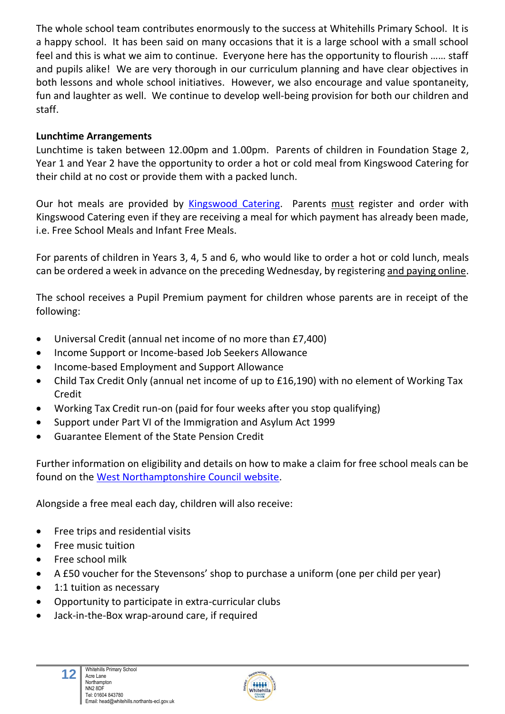The whole school team contributes enormously to the success at Whitehills Primary School. It is a happy school. It has been said on many occasions that it is a large school with a small school feel and this is what we aim to continue. Everyone here has the opportunity to flourish …… staff and pupils alike! We are very thorough in our curriculum planning and have clear objectives in both lessons and whole school initiatives. However, we also encourage and value spontaneity, fun and laughter as well. We continue to develop well-being provision for both our children and staff.

#### **Lunchtime Arrangements**

Lunchtime is taken between 12.00pm and 1.00pm. Parents of children in Foundation Stage 2, Year 1 and Year 2 have the opportunity to order a hot or cold meal from Kingswood Catering for their child at no cost or provide them with a packed lunch.

Our hot meals are provided by [Kingswood Catering.](https://www.kingswoodcatering.co.uk/) Parents must register and order with Kingswood Catering even if they are receiving a meal for which payment has already been made, i.e. Free School Meals and Infant Free Meals.

For parents of children in Years 3, 4, 5 and 6, who would like to order a hot or cold lunch, meals can be ordered a week in advance on the preceding Wednesday, by registering and paying online.

The school receives a Pupil Premium payment for children whose parents are in receipt of the following:

- Universal Credit (annual net income of no more than £7,400)
- Income Support or Income-based Job Seekers Allowance
- Income-based Employment and Support Allowance
- Child Tax Credit Only (annual net income of up to £16,190) with no element of Working Tax Credit
- Working Tax Credit run-on (paid for four weeks after you stop qualifying)
- Support under Part VI of the Immigration and Asylum Act 1999
- Guarantee Element of the State Pension Credit

Further information on eligibility and details on how to make a claim for free school meals can be found on the [West Northamptonshire Council](https://www.northamptonshire.gov.uk/councilservices/children-families-education/schools-and-education/Pages/free-school-meals.aspx) website.

Alongside a free meal each day, children will also receive:

- Free trips and residential visits
- Free music tuition
- Free school milk
- A £50 voucher for the Stevensons' shop to purchase a uniform (one per child per year)
- 1:1 tuition as necessary
- Opportunity to participate in extra-curricular clubs
- Jack-in-the-Box wrap-around care, if required

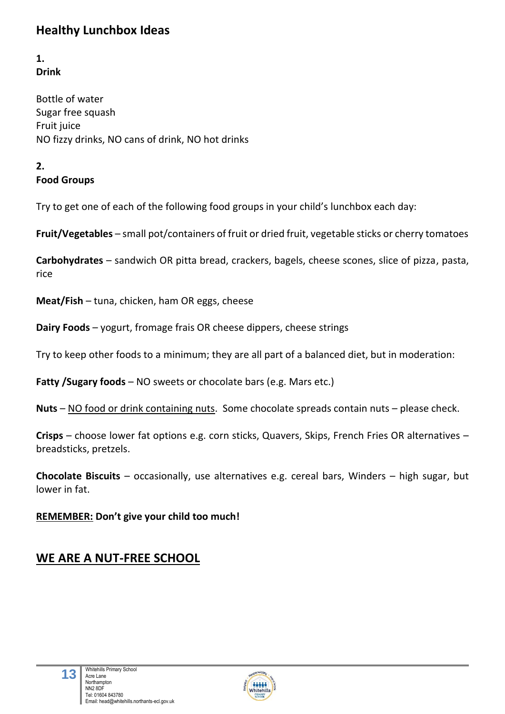# **Healthy Lunchbox Ideas**

**1. Drink**

Bottle of water Sugar free squash Fruit juice NO fizzy drinks, NO cans of drink, NO hot drinks

#### **2. Food Groups**

Try to get one of each of the following food groups in your child's lunchbox each day:

**Fruit/Vegetables** – small pot/containers of fruit or dried fruit, vegetable sticks or cherry tomatoes

**Carbohydrates** – sandwich OR pitta bread, crackers, bagels, cheese scones, slice of pizza, pasta, rice

**Meat/Fish** – tuna, chicken, ham OR eggs, cheese

**Dairy Foods** – yogurt, fromage frais OR cheese dippers, cheese strings

Try to keep other foods to a minimum; they are all part of a balanced diet, but in moderation:

**Fatty /Sugary foods** – NO sweets or chocolate bars (e.g. Mars etc.)

**Nuts** – NO food or drink containing nuts. Some chocolate spreads contain nuts – please check.

**Crisps** – choose lower fat options e.g. corn sticks, Quavers, Skips, French Fries OR alternatives – breadsticks, pretzels.

**Chocolate Biscuits** – occasionally, use alternatives e.g. cereal bars, Winders – high sugar, but lower in fat.

**REMEMBER: Don't give your child too much!**

## **WE ARE A NUT-FREE SCHOOL**